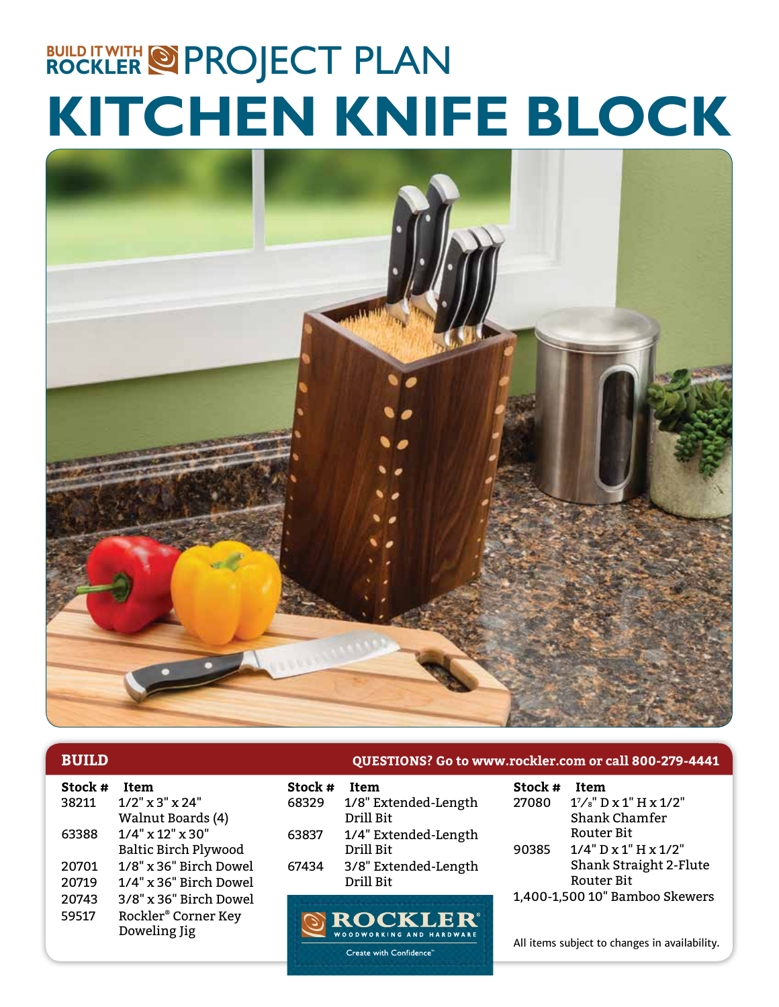# **KITCHEN KNIFE BLOCK BUILD IT WITH @ PROJECT PLAN**



| Stock # | <b>Item</b>                     | Stock # | Item           |
|---------|---------------------------------|---------|----------------|
| 38211   | $1/2$ " x 3" x 24"              | 68329   | $1/8$ " E      |
|         | Walnut Boards (4)               |         | Drill <b>E</b> |
| 63388   | $1/4$ " x 12" x 30"             | 63837   | $1/4$ " E      |
|         | <b>Baltic Birch Plywood</b>     |         | Drill <b>E</b> |
| 20701   | 1/8" x 36" Birch Dowel          | 67434   | $3/8"$ E       |
| 20719   | 1/4" x 36" Birch Dowel          |         | Drill <b>H</b> |
| 20743   | 3/8" x 36" Birch Dowel          |         |                |
| 59517   | Rockler <sup>®</sup> Corner Key |         | $\odot$ RO     |
|         | Doweling Jig                    |         | WOODWOR        |
|         |                                 |         |                |

| <b>BUILD</b> | QUESTIONS? Go to www.rockler.com or call 800-279-4441 |
|--------------|-------------------------------------------------------|
|--------------|-------------------------------------------------------|

| Stock # | Item                              |
|---------|-----------------------------------|
| 68329   | 1/8" Extended-Length              |
|         | Drill Rit                         |
| 63837   | 1/4" Extended-Length              |
|         | Drill Bit                         |
| 67434   | 3/8" Extended-Length<br>Drill Bit |

ROCKLER WOODWORKING AND HARDWARI Create with Confidence"

| <b>Item</b>                      |
|----------------------------------|
| $1\frac{7}{8}$ " D x 1" H x 1/2" |
| Shank Chamfer                    |
| Router Bit                       |
| $1/4$ " D x $1$ " H x $1/2$ "    |
| Shank Straight 2-Flute           |
| <b>Router Bit</b>                |
| 1,400-1,500 10" Bamboo Skewers   |
|                                  |

All items subject to changes in availability.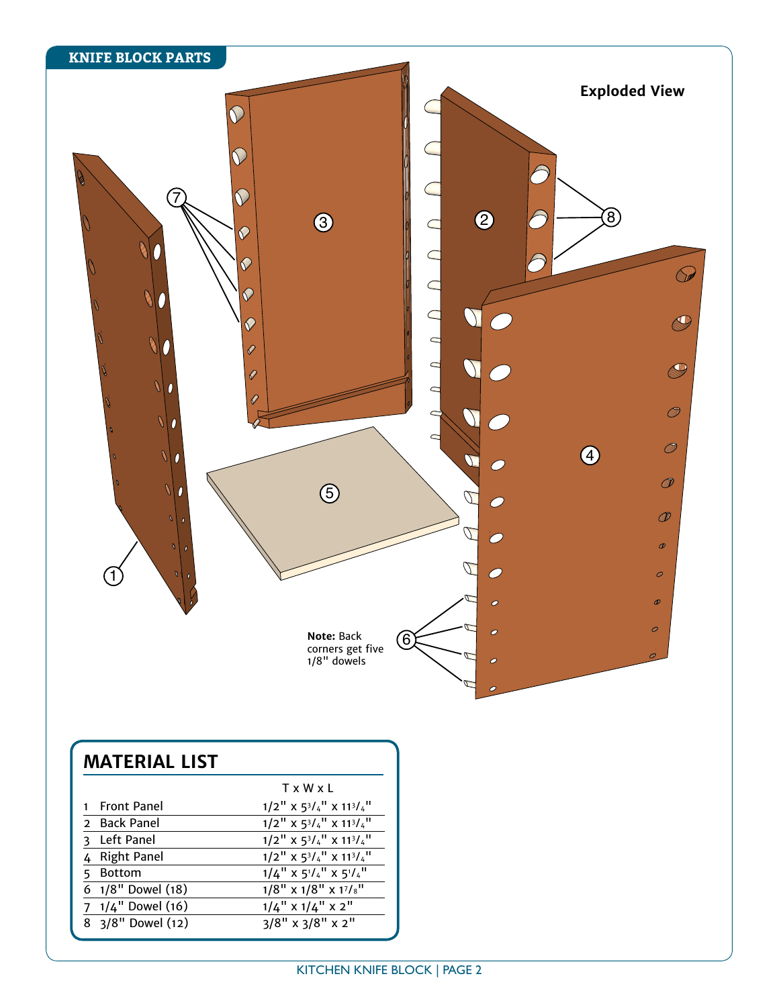

## **MATERIAL LIST**

|                              | TxWxI                                                                                                         |
|------------------------------|---------------------------------------------------------------------------------------------------------------|
| 1 Front Panel                | $1/2$ <sup>"</sup> X $5^{3}/4$ <sup>"</sup> X $11^{3}/4$ <sup>"</sup>                                         |
| 2 Back Panel                 | $1/2$ <sup>"</sup> X $5^{3}/4$ <sup>"</sup> X $11^{3}/4$ <sup>"</sup>                                         |
| 3 Left Panel                 | $1/2$ <sup>"</sup> X 5 <sup>3</sup> / <sub>4</sub> <sup>"</sup> X 11 <sup>3</sup> / <sub>4</sub> <sup>"</sup> |
| 4 Right Panel                | $1/2$ <sup>"</sup> X 5 <sup>3</sup> / <sub>4</sub> <sup>"</sup> X 11 <sup>3</sup> / <sub>4</sub> <sup>"</sup> |
| Bottom                       | $1/4$ " $\times$ 5 <sup>1</sup> / <sub>4</sub> " $\times$ 5 <sup>1</sup> / <sub>4</sub> "                     |
| 6 $1/8$ " Dowel (18)         | $1/8$ " x $1/8$ " x $1^{7}/8$ "                                                                               |
| $7 \frac{1}{4}$ " Dowel (16) | $1/4$ " x $1/4$ " x $2$ "                                                                                     |
| 8 3/8" Dowel (12)            | $3/8$ " x $3/8$ " x $2$ "                                                                                     |
|                              |                                                                                                               |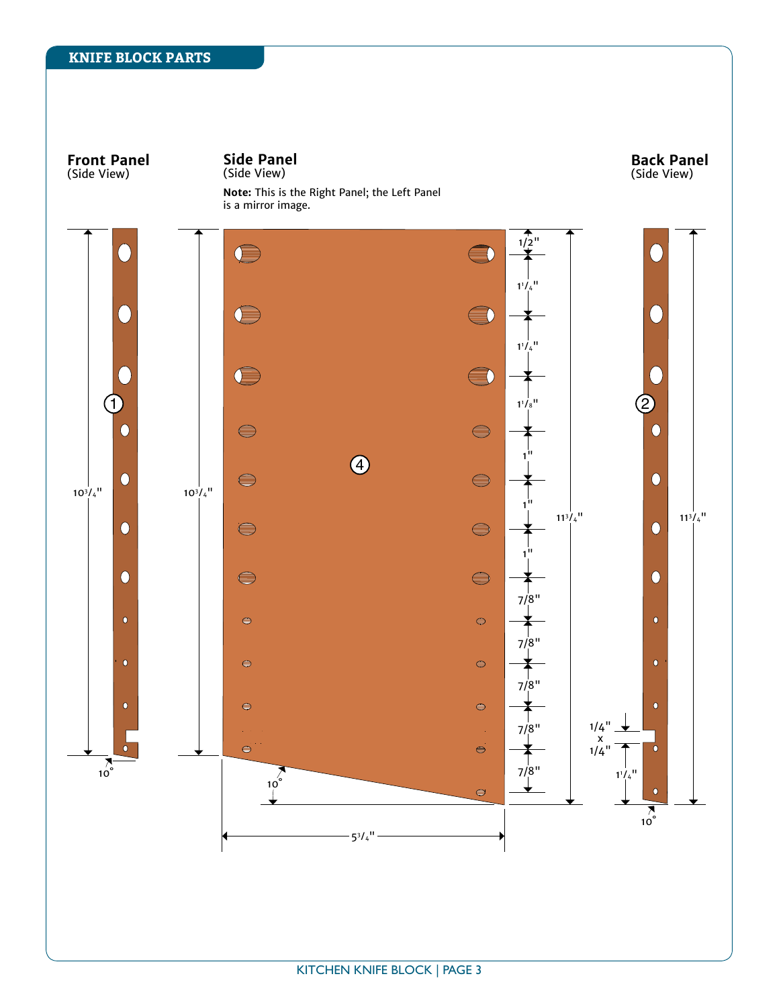#### **KNIFE BLOCK PARTS**

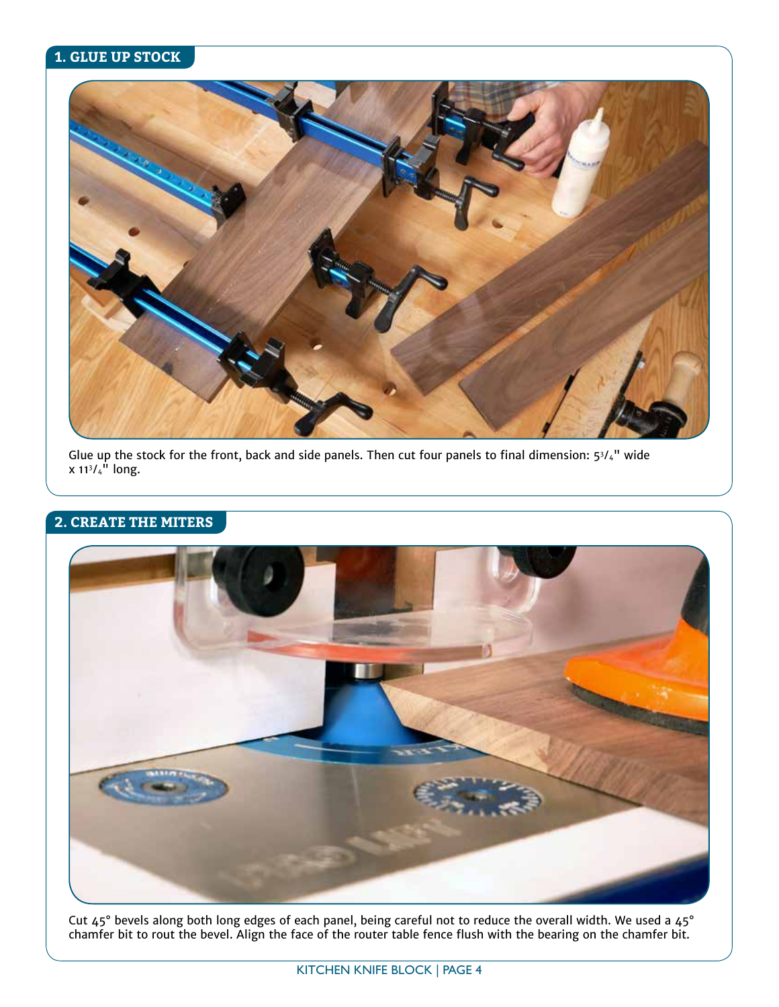#### **1. GLUE UP STOCK**



Glue up the stock for the front, back and side panels. Then cut four panels to final dimension: 53/4" wide x 113 ⁄4" long.

#### **2. CREATE THE MITERS**



Cut 45° bevels along both long edges of each panel, being careful not to reduce the overall width. We used a 45° chamfer bit to rout the bevel. Align the face of the router table fence flush with the bearing on the chamfer bit.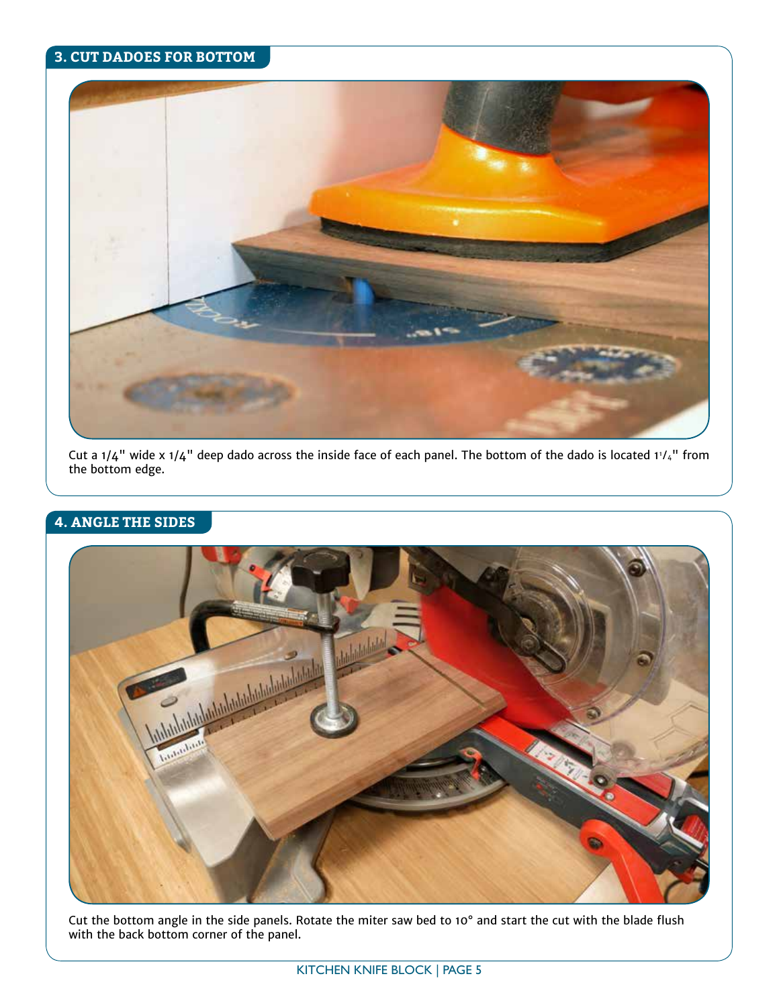#### **3. CUT DADOES FOR BOTTOM**



Cut a 1/4" wide x 1/4" deep dado across the inside face of each panel. The bottom of the dado is located 11 ⁄4" from the bottom edge.

### **4. ANGLE THE SIDES**



Cut the bottom angle in the side panels. Rotate the miter saw bed to 10° and start the cut with the blade flush with the back bottom corner of the panel.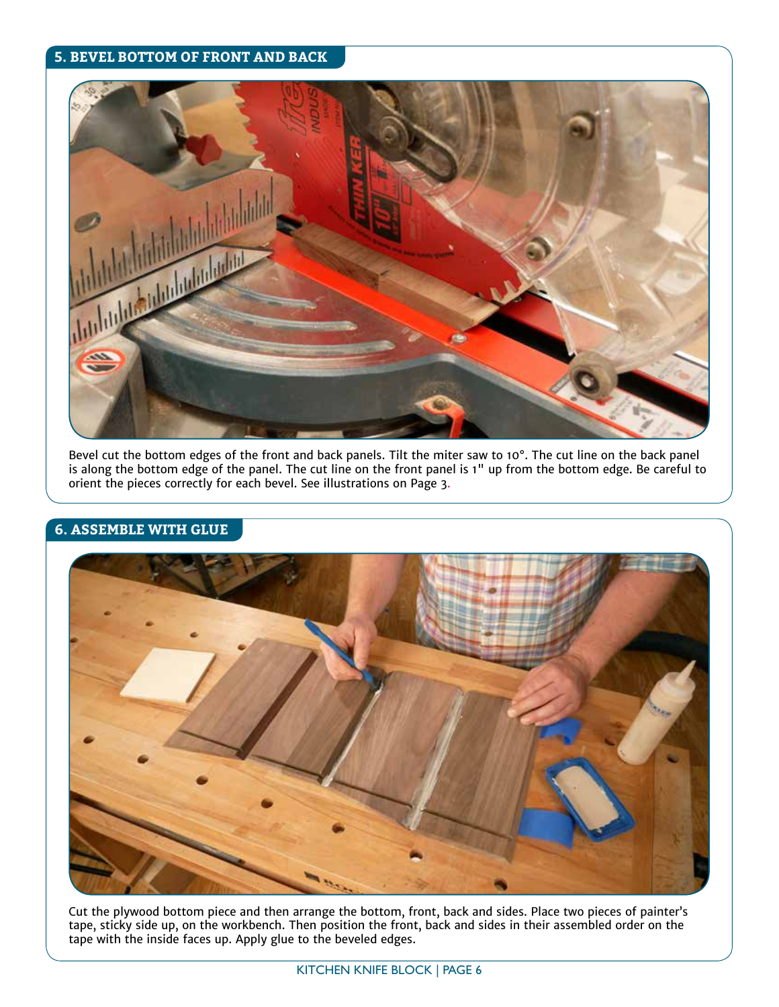#### **5. BEVEL BOTTOM OF FRONT AND BACK**



Bevel cut the bottom edges of the front and back panels. Tilt the miter saw to 10°. The cut line on the back panel is along the bottom edge of the panel. The cut line on the front panel is 1" up from the bottom edge. Be careful to orient the pieces correctly for each bevel. See illustrations on Page 3.

#### **6. ASSEMBLE WITH GLUE**



Cut the plywood bottom piece and then arrange the bottom, front, back and sides. Place two pieces of painter's tape, sticky side up, on the workbench. Then position the front, back and sides in their assembled order on the tape with the inside faces up. Apply glue to the beveled edges.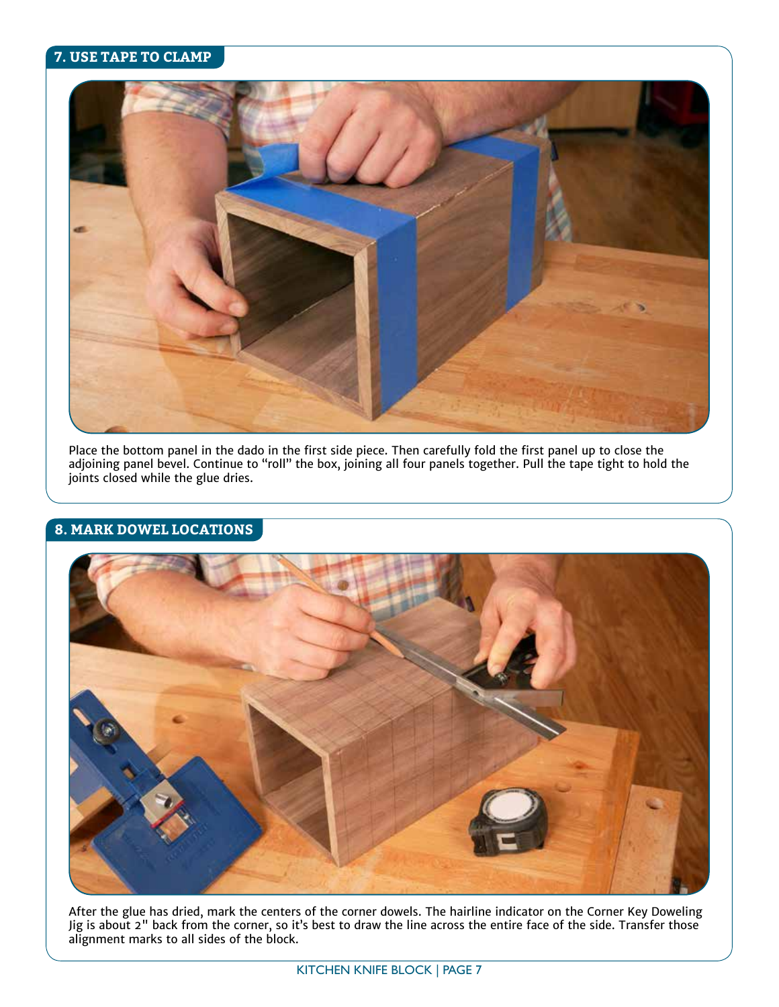#### **7. USE TAPE TO CLAMP**



Place the bottom panel in the dado in the first side piece. Then carefully fold the first panel up to close the adjoining panel bevel. Continue to "roll" the box, joining all four panels together. Pull the tape tight to hold the joints closed while the glue dries.

#### **8. MARK DOWEL LOCATIONS**



After the glue has dried, mark the centers of the corner dowels. The hairline indicator on the Corner Key Doweling Jig is about 2" back from the corner, so it's best to draw the line across the entire face of the side. Transfer those alignment marks to all sides of the block.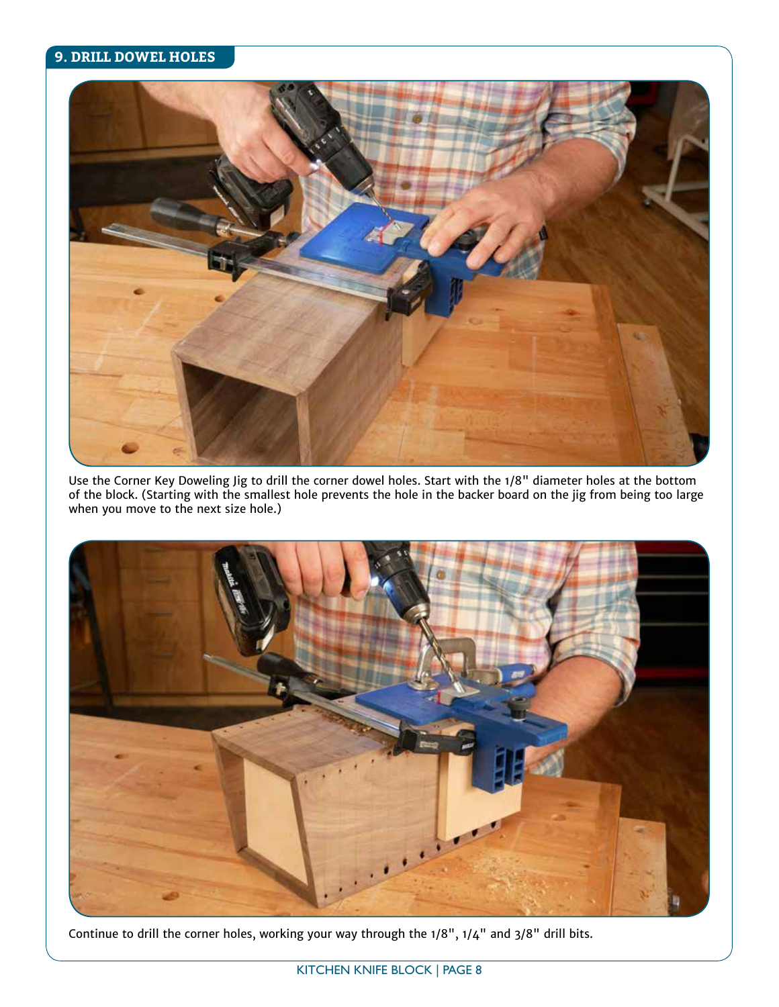#### **9. DRILL DOWEL HOLES**



Use the Corner Key Doweling Jig to drill the corner dowel holes. Start with the 1/8" diameter holes at the bottom of the block. (Starting with the smallest hole prevents the hole in the backer board on the jig from being too large when you move to the next size hole.)



Continue to drill the corner holes, working your way through the 1/8", 1/4" and 3/8" drill bits.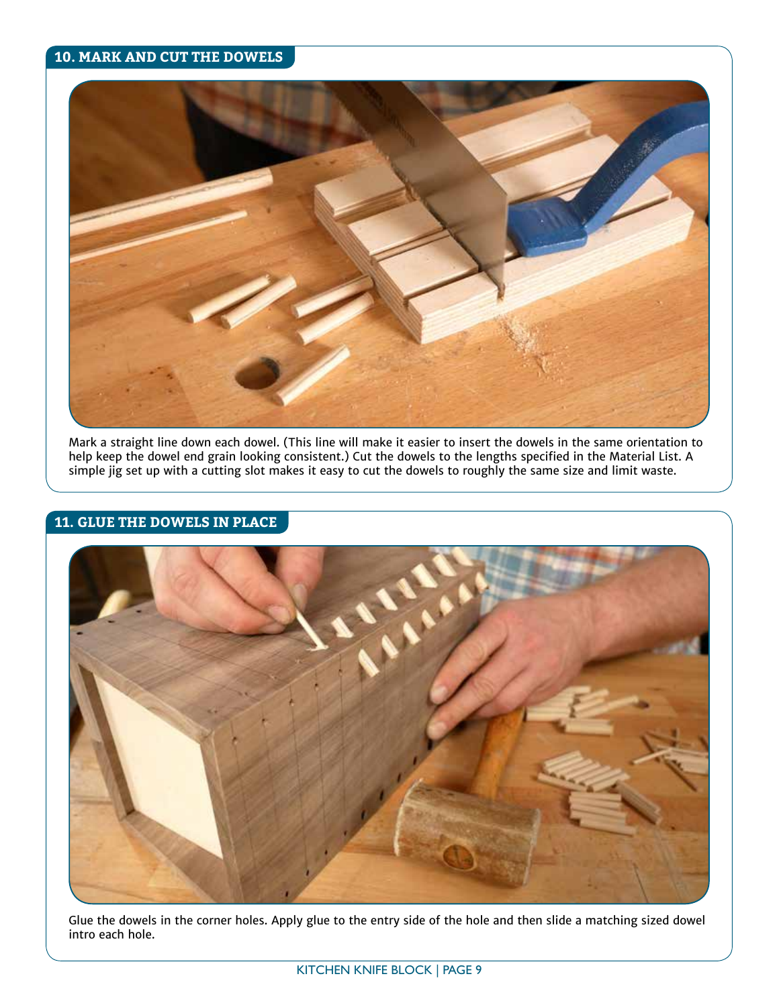#### **10. MARK AND CUT THE DOWELS**



Mark a straight line down each dowel. (This line will make it easier to insert the dowels in the same orientation to help keep the dowel end grain looking consistent.) Cut the dowels to the lengths specified in the Material List. A simple jig set up with a cutting slot makes it easy to cut the dowels to roughly the same size and limit waste.

#### **11. GLUE THE DOWELS IN PLACE**



Glue the dowels in the corner holes. Apply glue to the entry side of the hole and then slide a matching sized dowel intro each hole.

KITCHEN KNIFE BLOCK | PAGE 9